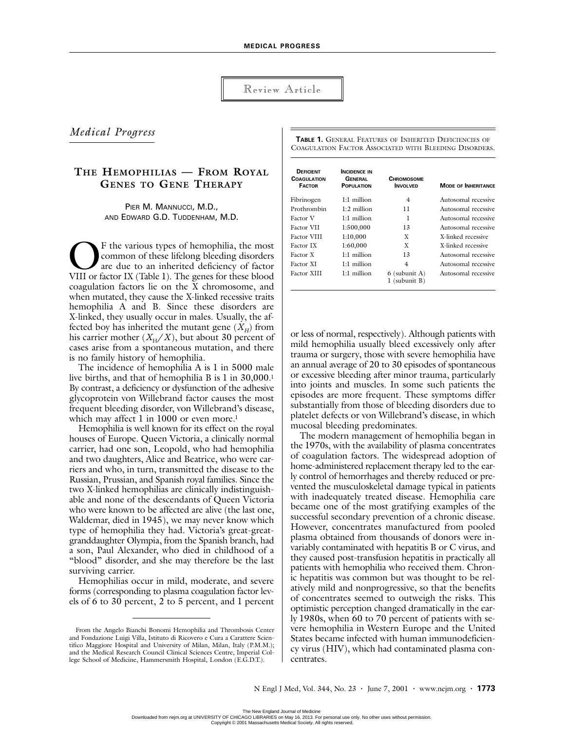Review Article

# *Medical Progress*

# **THE HEMOPHILIAS — FROM ROYAL GENES TO GENE THERAPY**

PIER M. MANNUCCI, M.D., AND EDWARD G.D. TUDDENHAM, M.D.

F the various types of hemophilia, the most common of these lifelong bleeding disorders are due to an inherited deficiency of factor The various types of hemophilia, the most<br>common of these lifelong bleeding disorders<br>are due to an inherited deficiency of factor<br>VIII or factor IX (Table 1). The genes for these blood coagulation factors lie on the X chromosome, and when mutated, they cause the X-linked recessive traits hemophilia A and B. Since these disorders are X-linked, they usually occur in males. Usually, the affected boy has inherited the mutant gene  $(X_H)$  from his carrier mother  $(X_H/X)$ , but about 30 percent of cases arise from a spontaneous mutation, and there is no family history of hemophilia.

The incidence of hemophilia A is 1 in 5000 male live births, and that of hemophilia B is 1 in 30,000.1 By contrast, a deficiency or dysfunction of the adhesive glycoprotein von Willebrand factor causes the most frequent bleeding disorder, von Willebrand's disease, which may affect 1 in 1000 or even more.<sup>1</sup>

Hemophilia is well known for its effect on the royal houses of Europe. Queen Victoria, a clinically normal carrier, had one son, Leopold, who had hemophilia and two daughters, Alice and Beatrice, who were carriers and who, in turn, transmitted the disease to the Russian, Prussian, and Spanish royal families. Since the two X-linked hemophilias are clinically indistinguishable and none of the descendants of Queen Victoria who were known to be affected are alive (the last one, Waldemar, died in 1945), we may never know which type of hemophilia they had. Victoria's great-greatgranddaughter Olympia, from the Spanish branch, had a son, Paul Alexander, who died in childhood of a "blood" disorder, and she may therefore be the last surviving carrier.

Hemophilias occur in mild, moderate, and severe forms (corresponding to plasma coagulation factor levels of 6 to 30 percent, 2 to 5 percent, and 1 percent

**TABLE 1.** GENERAL FEATURES OF INHERITED DEFICIENCIES OF COAGULATION FACTOR ASSOCIATED WITH BLEEDING DISORDERS.

| <b>DEFICIENT</b><br><b>COAGULATION</b><br><b>FACTOR</b> | <b>INCIDENCE IN</b><br><b>GENERAL</b><br><b>POPULATION</b> | <b>CHROMOSOME</b><br><b>INVOLVED</b> | <b>MODE OF INHERITANCE</b> |
|---------------------------------------------------------|------------------------------------------------------------|--------------------------------------|----------------------------|
| Fibrinogen                                              | $1.1$ million                                              | 4                                    | Autosomal recessive        |
| Prothrombin                                             | $1:2$ million                                              | 11                                   | Autosomal recessive        |
| Factor V                                                | 1:1 million                                                | 1                                    | Autosomal recessive        |
| <b>Factor VII</b>                                       | 1:500,000                                                  | 13                                   | Autosomal recessive        |
| <b>Factor VIII</b>                                      | 1:10,000                                                   | X                                    | X-linked recessive         |
| Factor IX                                               | 1:60,000                                                   | X                                    | X-linked recessive         |
| Factor X                                                | 1:1 million                                                | 13                                   | Autosomal recessive        |
| Factor XI                                               | 1:1 million                                                | 4                                    | Autosomal recessive        |
| Factor XIII                                             | 1:1 million                                                | $6$ (subunit A)<br>(subunit B)       | Autosomal recessive        |

or less of normal, respectively). Although patients with mild hemophilia usually bleed excessively only after trauma or surgery, those with severe hemophilia have an annual average of 20 to 30 episodes of spontaneous or excessive bleeding after minor trauma, particularly into joints and muscles. In some such patients the episodes are more frequent. These symptoms differ substantially from those of bleeding disorders due to platelet defects or von Willebrand's disease, in which mucosal bleeding predominates.

The modern management of hemophilia began in the 1970s, with the availability of plasma concentrates of coagulation factors. The widespread adoption of home-administered replacement therapy led to the early control of hemorrhages and thereby reduced or prevented the musculoskeletal damage typical in patients with inadequately treated disease. Hemophilia care became one of the most gratifying examples of the successful secondary prevention of a chronic disease. However, concentrates manufactured from pooled plasma obtained from thousands of donors were invariably contaminated with hepatitis B or C virus, and they caused post-transfusion hepatitis in practically all patients with hemophilia who received them. Chronic hepatitis was common but was thought to be relatively mild and nonprogressive, so that the benefits of concentrates seemed to outweigh the risks. This optimistic perception changed dramatically in the early 1980s, when 60 to 70 percent of patients with severe hemophilia in Western Europe and the United States became infected with human immunodeficiency virus (HIV), which had contaminated plasma concentrates.

From the Angelo Bianchi Bonomi Hemophilia and Thrombosis Center and Fondazione Luigi Villa, Istituto di Ricovero e Cura a Carattere Scientifico Maggiore Hospital and University of Milan, Milan, Italy (P.M.M.); and the Medical Research Council Clinical Sciences Centre, Imperial College School of Medicine, Hammersmith Hospital, London (E.G.D.T.).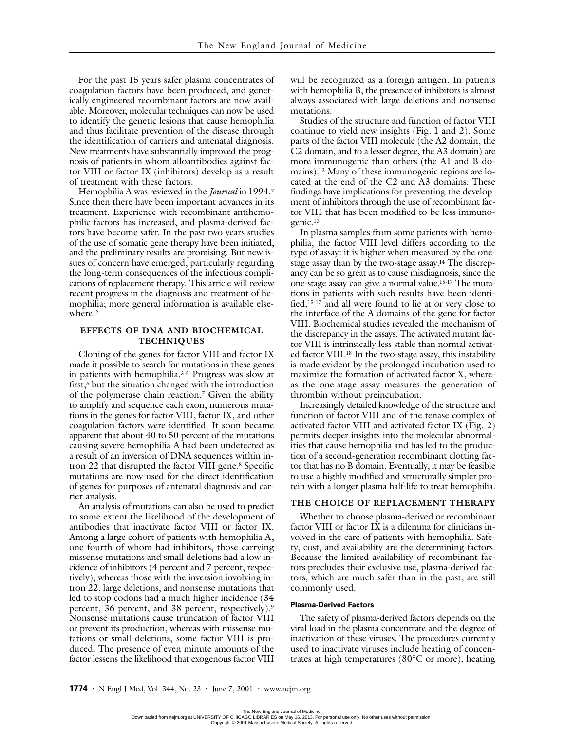For the past 15 years safer plasma concentrates of coagulation factors have been produced, and genetically engineered recombinant factors are now available. Moreover, molecular techniques can now be used to identify the genetic lesions that cause hemophilia and thus facilitate prevention of the disease through the identification of carriers and antenatal diagnosis. New treatments have substantially improved the prognosis of patients in whom alloantibodies against factor VIII or factor IX (inhibitors) develop as a result of treatment with these factors.

Hemophilia A was reviewed in the *Journal* in 1994.2 Since then there have been important advances in its treatment. Experience with recombinant antihemophilic factors has increased, and plasma-derived factors have become safer. In the past two years studies of the use of somatic gene therapy have been initiated, and the preliminary results are promising. But new issues of concern have emerged, particularly regarding the long-term consequences of the infectious complications of replacement therapy. This article will review recent progress in the diagnosis and treatment of hemophilia; more general information is available elsewhere.<sup>2</sup>

### **EFFECTS OF DNA AND BIOCHEMICAL TECHNIQUES**

Cloning of the genes for factor VIII and factor IX made it possible to search for mutations in these genes in patients with hemophilia.3-5 Progress was slow at first,<sup>6</sup> but the situation changed with the introduction of the polymerase chain reaction.7 Given the ability to amplify and sequence each exon, numerous mutations in the genes for factor VIII, factor IX, and other coagulation factors were identified. It soon became apparent that about 40 to 50 percent of the mutations causing severe hemophilia A had been undetected as a result of an inversion of DNA sequences within intron 22 that disrupted the factor VIII gene.<sup>8</sup> Specific mutations are now used for the direct identification of genes for purposes of antenatal diagnosis and carrier analysis.

An analysis of mutations can also be used to predict to some extent the likelihood of the development of antibodies that inactivate factor VIII or factor IX. Among a large cohort of patients with hemophilia A, one fourth of whom had inhibitors, those carrying missense mutations and small deletions had a low incidence of inhibitors (4 percent and 7 percent, respectively), whereas those with the inversion involving intron 22, large deletions, and nonsense mutations that led to stop codons had a much higher incidence (34 percent, 36 percent, and 38 percent, respectively).9 Nonsense mutations cause truncation of factor VIII or prevent its production, whereas with missense mutations or small deletions, some factor VIII is produced. The presence of even minute amounts of the factor lessens the likelihood that exogenous factor VIII

will be recognized as a foreign antigen. In patients with hemophilia B, the presence of inhibitors is almost always associated with large deletions and nonsense mutations.

Studies of the structure and function of factor VIII continue to yield new insights (Fig. 1 and 2). Some parts of the factor VIII molecule (the A2 domain, the C2 domain, and to a lesser degree, the A3 domain) are more immunogenic than others (the A1 and B domains).12 Many of these immunogenic regions are located at the end of the C2 and A3 domains. These findings have implications for preventing the development of inhibitors through the use of recombinant factor VIII that has been modified to be less immunogenic.13

In plasma samples from some patients with hemophilia, the factor VIII level differs according to the type of assay: it is higher when measured by the onestage assay than by the two-stage assay.14 The discrepancy can be so great as to cause misdiagnosis, since the one-stage assay can give a normal value.15-17 The mutations in patients with such results have been identified,15-17 and all were found to lie at or very close to the interface of the A domains of the gene for factor VIII. Biochemical studies revealed the mechanism of the discrepancy in the assays. The activated mutant factor VIII is intrinsically less stable than normal activated factor VIII.18 In the two-stage assay, this instability is made evident by the prolonged incubation used to maximize the formation of activated factor X, whereas the one-stage assay measures the generation of thrombin without preincubation.

Increasingly detailed knowledge of the structure and function of factor VIII and of the tenase complex of activated factor VIII and activated factor IX (Fig. 2) permits deeper insights into the molecular abnormalities that cause hemophilia and has led to the production of a second-generation recombinant clotting factor that has no B domain. Eventually, it may be feasible to use a highly modified and structurally simpler protein with a longer plasma half-life to treat hemophilia.

## **THE CHOICE OF REPLACEMENT THERAPY**

Whether to choose plasma-derived or recombinant factor VIII or factor  $\overline{IX}$  is a dilemma for clinicians involved in the care of patients with hemophilia. Safety, cost, and availability are the determining factors. Because the limited availability of recombinant factors precludes their exclusive use, plasma-derived factors, which are much safer than in the past, are still commonly used.

### **Plasma-Derived Factors**

The safety of plasma-derived factors depends on the viral load in the plasma concentrate and the degree of inactivation of these viruses. The procedures currently used to inactivate viruses include heating of concentrates at high temperatures (80°C or more), heating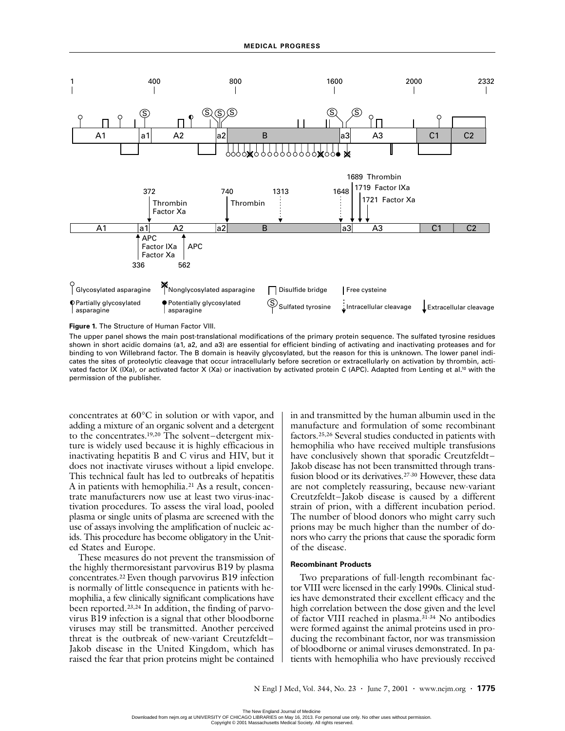

**Figure 1.** The Structure of Human Factor VIII.

The upper panel shows the main post-translational modifications of the primary protein sequence. The sulfated tyrosine residues shown in short acidic domains (a1, a2, and a3) are essential for efficient binding of activating and inactivating proteases and for binding to von Willebrand factor. The B domain is heavily glycosylated, but the reason for this is unknown. The lower panel indicates the sites of proteolytic cleavage that occur intracellularly before secretion or extracellularly on activation by thrombin, activated factor IX (IXa), or activated factor X (Xa) or inactivation by activated protein C (APC). Adapted from Lenting et al.10 with the permission of the publisher.

concentrates at 60°C in solution or with vapor, and adding a mixture of an organic solvent and a detergent to the concentrates.19,20 The solvent–detergent mixture is widely used because it is highly efficacious in inactivating hepatitis B and C virus and HIV, but it does not inactivate viruses without a lipid envelope. This technical fault has led to outbreaks of hepatitis A in patients with hemophilia.21 As a result, concentrate manufacturers now use at least two virus-inactivation procedures. To assess the viral load, pooled plasma or single units of plasma are screened with the use of assays involving the amplification of nucleic acids. This procedure has become obligatory in the United States and Europe.

These measures do not prevent the transmission of the highly thermoresistant parvovirus B19 by plasma concentrates.22 Even though parvovirus B19 infection is normally of little consequence in patients with hemophilia, a few clinically significant complications have been reported.23,24 In addition, the finding of parvovirus B19 infection is a signal that other bloodborne viruses may still be transmitted. Another perceived threat is the outbreak of new-variant Creutzfeldt– Jakob disease in the United Kingdom, which has raised the fear that prion proteins might be contained

in and transmitted by the human albumin used in the manufacture and formulation of some recombinant factors.25,26 Several studies conducted in patients with hemophilia who have received multiple transfusions have conclusively shown that sporadic Creutzfeldt– Jakob disease has not been transmitted through transfusion blood or its derivatives.27-30 However, these data are not completely reassuring, because new-variant Creutzfeldt–Jakob disease is caused by a different strain of prion, with a different incubation period. The number of blood donors who might carry such prions may be much higher than the number of donors who carry the prions that cause the sporadic form of the disease.

#### **Recombinant Products**

Two preparations of full-length recombinant factor VIII were licensed in the early 1990s. Clinical studies have demonstrated their excellent efficacy and the high correlation between the dose given and the level of factor VIII reached in plasma.31-34 No antibodies were formed against the animal proteins used in producing the recombinant factor, nor was transmission of bloodborne or animal viruses demonstrated. In patients with hemophilia who have previously received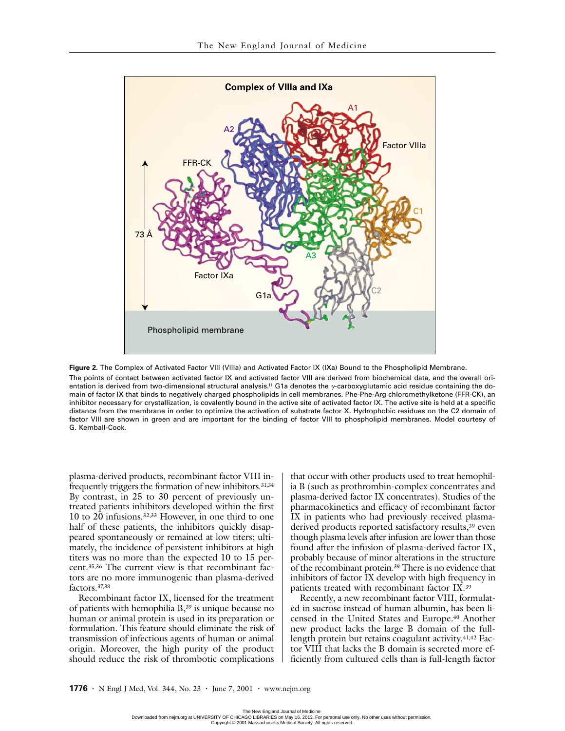

**Figure 2.** The Complex of Activated Factor VIII (VIIIa) and Activated Factor IX (IXa) Bound to the Phospholipid Membrane. The points of contact between activated factor IX and activated factor VIII are derived from biochemical data, and the overall orientation is derived from two-dimensional structural analysis.<sup>11</sup> G1a denotes the *y*-carboxyglutamic acid residue containing the domain of factor IX that binds to negatively charged phospholipids in cell membranes. Phe-Phe-Arg chloromethylketone (FFR-CK), an inhibitor necessary for crystallization, is covalently bound in the active site of activated factor IX. The active site is held at a specific distance from the membrane in order to optimize the activation of substrate factor X. Hydrophobic residues on the C2 domain of factor VIII are shown in green and are important for the binding of factor VIII to phospholipid membranes. Model courtesy of G. Kemball-Cook.

plasma-derived products, recombinant factor VIII infrequently triggers the formation of new inhibitors.<sup>31,34</sup> By contrast, in 25 to 30 percent of previously untreated patients inhibitors developed within the first 10 to  $20$  infusions.<sup>32,33</sup> However, in one third to one half of these patients, the inhibitors quickly disappeared spontaneously or remained at low titers; ultimately, the incidence of persistent inhibitors at high titers was no more than the expected 10 to 15 percent.35,36 The current view is that recombinant factors are no more immunogenic than plasma-derived factors.37,38

Recombinant factor IX, licensed for the treatment of patients with hemophilia B,39 is unique because no human or animal protein is used in its preparation or formulation. This feature should eliminate the risk of transmission of infectious agents of human or animal origin. Moreover, the high purity of the product should reduce the risk of thrombotic complications

that occur with other products used to treat hemophilia B (such as prothrombin-complex concentrates and plasma-derived factor IX concentrates). Studies of the pharmacokinetics and efficacy of recombinant factor IX in patients who had previously received plasmaderived products reported satisfactory results,<sup>39</sup> even though plasma levels after infusion are lower than those found after the infusion of plasma-derived factor IX, probably because of minor alterations in the structure of the recombinant protein.39 There is no evidence that inhibitors of factor IX develop with high frequency in patients treated with recombinant factor IX.39

Recently, a new recombinant factor VIII, formulated in sucrose instead of human albumin, has been licensed in the United States and Europe.40 Another new product lacks the large B domain of the fulllength protein but retains coagulant activity.41,42 Factor VIII that lacks the B domain is secreted more efficiently from cultured cells than is full-length factor

The New England Journal of Medicine<br>Downloaded from nejm.org at UNIVERSITY OF CHICAGO LIBRARIES on May 16, 2013. For personal use only. No other uses without permission. Copyright © 2001 Massachusetts Medical Society. All rights reserved.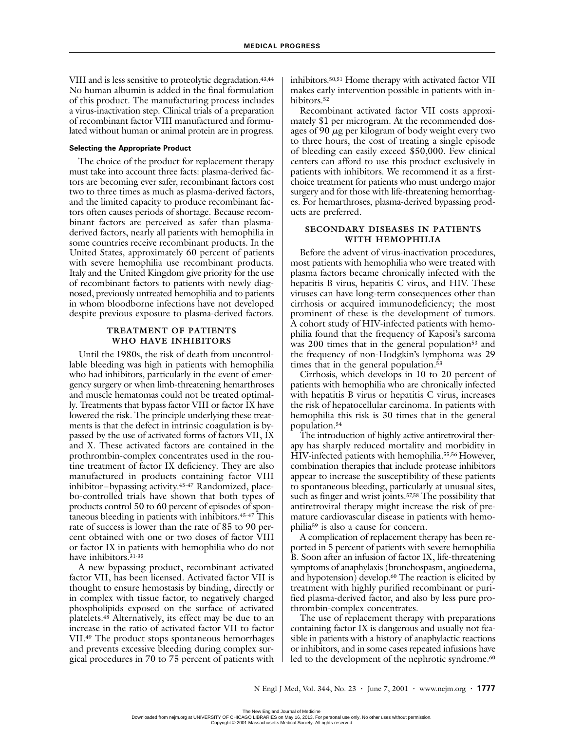VIII and is less sensitive to proteolytic degradation.43,44 No human albumin is added in the final formulation of this product. The manufacturing process includes a virus-inactivation step. Clinical trials of a preparation of recombinant factor VIII manufactured and formulated without human or animal protein are in progress.

### **Selecting the Appropriate Product**

The choice of the product for replacement therapy must take into account three facts: plasma-derived factors are becoming ever safer, recombinant factors cost two to three times as much as plasma-derived factors, and the limited capacity to produce recombinant factors often causes periods of shortage. Because recombinant factors are perceived as safer than plasmaderived factors, nearly all patients with hemophilia in some countries receive recombinant products. In the United States, approximately 60 percent of patients with severe hemophilia use recombinant products. Italy and the United Kingdom give priority for the use of recombinant factors to patients with newly diagnosed, previously untreated hemophilia and to patients in whom bloodborne infections have not developed despite previous exposure to plasma-derived factors.

### **TREATMENT OF PATIENTS WHO HAVE INHIBITORS**

Until the 1980s, the risk of death from uncontrollable bleeding was high in patients with hemophilia who had inhibitors, particularly in the event of emergency surgery or when limb-threatening hemarthroses and muscle hematomas could not be treated optimally. Treatments that bypass factor VIII or factor IX have lowered the risk. The principle underlying these treatments is that the defect in intrinsic coagulation is bypassed by the use of activated forms of factors VII, IX and X. These activated factors are contained in the prothrombin-complex concentrates used in the routine treatment of factor IX deficiency. They are also manufactured in products containing factor VIII inhibitor–bypassing activity.45-47 Randomized, placebo-controlled trials have shown that both types of products control 50 to 60 percent of episodes of spontaneous bleeding in patients with inhibitors.45-47 This rate of success is lower than the rate of 85 to 90 percent obtained with one or two doses of factor VIII or factor IX in patients with hemophilia who do not have inhibitors.31-35

A new bypassing product, recombinant activated factor VII, has been licensed. Activated factor VII is thought to ensure hemostasis by binding, directly or in complex with tissue factor, to negatively charged phospholipids exposed on the surface of activated platelets.48 Alternatively, its effect may be due to an increase in the ratio of activated factor VII to factor VII.49 The product stops spontaneous hemorrhages and prevents excessive bleeding during complex surgical procedures in 70 to 75 percent of patients with inhibitors.50,51 Home therapy with activated factor VII makes early intervention possible in patients with inhibitors.<sup>52</sup>

Recombinant activated factor VII costs approximately \$1 per microgram. At the recommended dosages of 90  $\mu$ g per kilogram of body weight every two to three hours, the cost of treating a single episode of bleeding can easily exceed \$50,000. Few clinical centers can afford to use this product exclusively in patients with inhibitors. We recommend it as a firstchoice treatment for patients who must undergo major surgery and for those with life-threatening hemorrhages. For hemarthroses, plasma-derived bypassing products are preferred.

## **SECONDARY DISEASES IN PATIENTS WITH HEMOPHILIA**

Before the advent of virus-inactivation procedures, most patients with hemophilia who were treated with plasma factors became chronically infected with the hepatitis B virus, hepatitis C virus, and HIV. These viruses can have long-term consequences other than cirrhosis or acquired immunodeficiency; the most prominent of these is the development of tumors. A cohort study of HIV-infected patients with hemophilia found that the frequency of Kaposi's sarcoma was 200 times that in the general population<sup>53</sup> and the frequency of non-Hodgkin's lymphoma was 29 times that in the general population.<sup>53</sup>

Cirrhosis, which develops in 10 to 20 percent of patients with hemophilia who are chronically infected with hepatitis B virus or hepatitis C virus, increases the risk of hepatocellular carcinoma. In patients with hemophilia this risk is 30 times that in the general population.54

The introduction of highly active antiretroviral therapy has sharply reduced mortality and morbidity in HIV-infected patients with hemophilia.55,56 However, combination therapies that include protease inhibitors appear to increase the susceptibility of these patients to spontaneous bleeding, particularly at unusual sites, such as finger and wrist joints.<sup>57,58</sup> The possibility that antiretroviral therapy might increase the risk of premature cardiovascular disease in patients with hemophilia59 is also a cause for concern.

A complication of replacement therapy has been reported in 5 percent of patients with severe hemophilia B. Soon after an infusion of factor IX, life-threatening symptoms of anaphylaxis (bronchospasm, angioedema, and hypotension) develop.<sup>60</sup> The reaction is elicited by treatment with highly purified recombinant or purified plasma-derived factor, and also by less pure prothrombin-complex concentrates.

The use of replacement therapy with preparations containing factor IX is dangerous and usually not feasible in patients with a history of anaphylactic reactions or inhibitors, and in some cases repeated infusions have led to the development of the nephrotic syndrome.<sup>60</sup>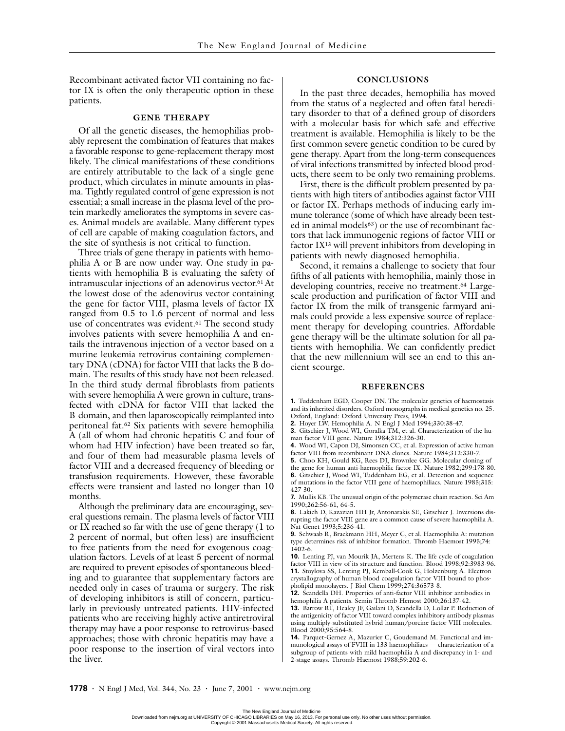Recombinant activated factor VII containing no factor IX is often the only therapeutic option in these patients.

## **GENE THERAPY**

Of all the genetic diseases, the hemophilias probably represent the combination of features that makes a favorable response to gene-replacement therapy most likely. The clinical manifestations of these conditions are entirely attributable to the lack of a single gene product, which circulates in minute amounts in plasma. Tightly regulated control of gene expression is not essential; a small increase in the plasma level of the protein markedly ameliorates the symptoms in severe cases. Animal models are available. Many different types of cell are capable of making coagulation factors, and the site of synthesis is not critical to function.

Three trials of gene therapy in patients with hemophilia A or B are now under way. One study in patients with hemophilia B is evaluating the safety of intramuscular injections of an adenovirus vector.<sup>61</sup> At the lowest dose of the adenovirus vector containing the gene for factor VIII, plasma levels of factor IX ranged from 0.5 to 1.6 percent of normal and less use of concentrates was evident.<sup>61</sup> The second study involves patients with severe hemophilia A and entails the intravenous injection of a vector based on a murine leukemia retrovirus containing complementary DNA (cDNA) for factor VIII that lacks the B domain. The results of this study have not been released. In the third study dermal fibroblasts from patients with severe hemophilia A were grown in culture, transfected with cDNA for factor VIII that lacked the B domain, and then laparoscopically reimplanted into peritoneal fat.62 Six patients with severe hemophilia A (all of whom had chronic hepatitis C and four of whom had HIV infection) have been treated so far, and four of them had measurable plasma levels of factor VIII and a decreased frequency of bleeding or transfusion requirements. However, these favorable effects were transient and lasted no longer than 10 months.

Although the preliminary data are encouraging, several questions remain. The plasma levels of factor VIII or IX reached so far with the use of gene therapy (1 to 2 percent of normal, but often less) are insufficient to free patients from the need for exogenous coagulation factors. Levels of at least 5 percent of normal are required to prevent episodes of spontaneous bleeding and to guarantee that supplementary factors are needed only in cases of trauma or surgery. The risk of developing inhibitors is still of concern, particularly in previously untreated patients. HIV-infected patients who are receiving highly active antiretroviral therapy may have a poor response to retrovirus-based approaches; those with chronic hepatitis may have a poor response to the insertion of viral vectors into the liver.

### **CONCLUSIONS**

In the past three decades, hemophilia has moved from the status of a neglected and often fatal hereditary disorder to that of a defined group of disorders with a molecular basis for which safe and effective treatment is available. Hemophilia is likely to be the first common severe genetic condition to be cured by gene therapy. Apart from the long-term consequences of viral infections transmitted by infected blood products, there seem to be only two remaining problems.

First, there is the difficult problem presented by patients with high titers of antibodies against factor VIII or factor IX. Perhaps methods of inducing early immune tolerance (some of which have already been tested in animal models<sup>63</sup>) or the use of recombinant factors that lack immunogenic regions of factor VIII or factor IX13 will prevent inhibitors from developing in patients with newly diagnosed hemophilia.

Second, it remains a challenge to society that four fifths of all patients with hemophilia, mainly those in developing countries, receive no treatment.<sup>64</sup> Largescale production and purification of factor VIII and factor IX from the milk of transgenic farmyard animals could provide a less expensive source of replacement therapy for developing countries. Affordable gene therapy will be the ultimate solution for all patients with hemophilia. We can confidently predict that the new millennium will see an end to this ancient scourge.

#### **REFERENCES**

**1.** Tuddenham EGD, Cooper DN. The molecular genetics of haemostasis and its inherited disorders. Oxford monographs in medical genetics no. 25. Oxford, England: Oxford University Press, 1994.

- **2.** Hoyer LW. Hemophilia A. N Engl J Med 1994;330:38-47.
- **3.** Gitschier J, Wood WI, Goralka TM, et al. Characterization of the human factor VIII gene. Nature 1984;312:326-30.
- **4.** Wood WI, Capon DJ, Simonsen CC, et al. Expression of active human
- factor VIII from recombinant DNA clones. Nature 1984;312:330-7. **5.** Choo KH, Gould KG, Rees DJ, Brownlee GG. Molecular cloning of
- the gene for human anti-haemophilic factor IX. Nature 1982;299:178-80.
- **6.** Gitschier J, Wood WI, Tuddenham EG, et al. Detection and sequence of mutations in the factor VIII gene of haemophiliacs. Nature 1985;315: 427-30.
- **7.** Mullis KB. The unusual origin of the polymerase chain reaction. Sci Am 1990;262:56-61, 64-5.
- **8.** Lakich D, Kazazian HH Jr, Antonarakis SE, Gitschier J. Inversions disrupting the factor VIII gene are a common cause of severe haemophilia A. Nat Genet 1993;5:236-41.
- **9.** Schwaab R, Brackmann HH, Meyer C, et al. Haemophilia A: mutation type determines risk of inhibitor formation. Thromb Haemost 1995;74:  $1402 - 6$ .

**10.** Lenting PJ, van Mourik JA, Mertens K. The life cycle of coagulation factor VIII in view of its structure and function. Blood 1998;92:3983-96. **11.** Stoylova SS, Lenting PJ, Kemball-Cook G, Holzenburg A. Electron crystallography of human blood coagulation factor VIII bound to phospholipid monolayers. J Biol Chem 1999;274:36573-8.

**12.** Scandella DH. Properties of anti-factor VIII inhibitor antibodies in hemophilia A patients. Semin Thromb Hemost 2000;26:137-42.

**13.** Barrow RT, Healey JF, Gailani D, Scandella D, Lollar P. Reduction of the antigenicity of factor VIII toward complex inhibitory antibody plasmas using multiply-substituted hybrid human/porcine factor VIII molecules. Blood 2000;95:564-8.

**<sup>14.</sup>** Parquet-Gernez A, Mazurier C, Goudemand M. Functional and immunological assays of FVIII in 133 haemophiliacs — characterization of a subgroup of patients with mild haemophilia A and discrepancy in 1- and 2-stage assays. Thromb Haemost 1988;59:202-6.